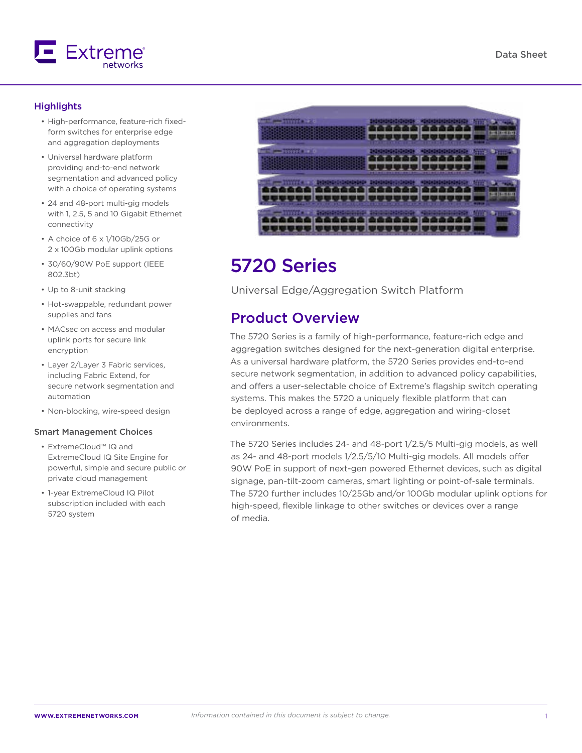

## **Highlights**

- High-performance, feature-rich fixedform switches for enterprise edge and aggregation deployments
- Universal hardware platform providing end-to-end network segmentation and advanced policy with a choice of operating systems
- 24 and 48-port multi-gig models with 1, 2.5, 5 and 10 Gigabit Ethernet connectivity
- A choice of 6 x 1/10Gb/25G or 2 x 100Gb modular uplink options
- 30/60/90W PoE support (IEEE 802.3bt)
- Up to 8-unit stacking
- Hot-swappable, redundant power supplies and fans
- MACsec on access and modular uplink ports for secure link encryption
- Layer 2/Layer 3 Fabric services, including Fabric Extend, for secure network segmentation and automation
- Non-blocking, wire-speed design

### Smart Management Choices

- ExtremeCloud™ IQ and ExtremeCloud IQ Site Engine for powerful, simple and secure public or private cloud management
- 1-year ExtremeCloud IQ Pilot subscription included with each 5720 system



# 5720 Series

Universal Edge/Aggregation Switch Platform

## Product Overview

The 5720 Series is a family of high-performance, feature-rich edge and aggregation switches designed for the next-generation digital enterprise. As a universal hardware platform, the 5720 Series provides end-to-end secure network segmentation, in addition to advanced policy capabilities, and offers a user-selectable choice of Extreme's flagship switch operating systems. This makes the 5720 a uniquely flexible platform that can be deployed across a range of edge, aggregation and wiring-closet environments.

The 5720 Series includes 24- and 48-port 1/2.5/5 Multi-gig models, as well as 24- and 48-port models 1/2.5/5/10 Multi-gig models. All models offer 90W PoE in support of next-gen powered Ethernet devices, such as digital signage, pan-tilt-zoom cameras, smart lighting or point-of-sale terminals. The 5720 further includes 10/25Gb and/or 100Gb modular uplink options for high-speed, flexible linkage to other switches or devices over a range of media.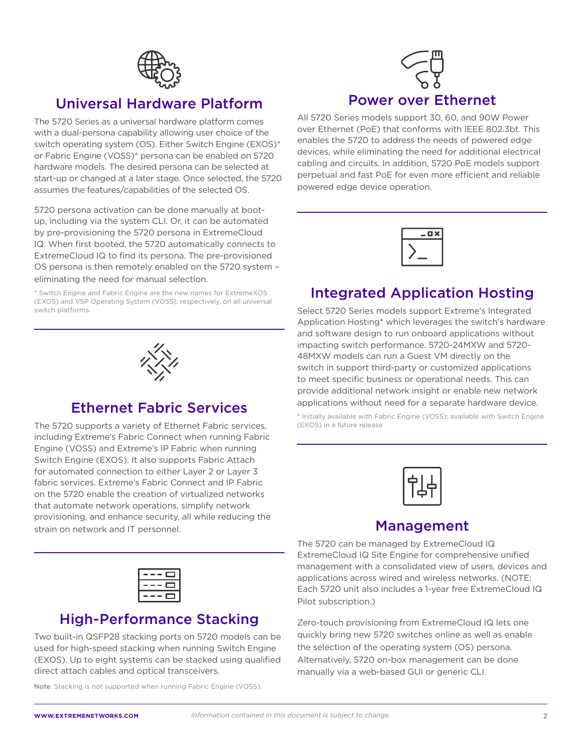

## Universal Hardware Platform

The 5720 Series as a universal hardware platform comes with a dual-persona capability allowing user choice of the switch operating system (OS). Either Switch Engine (EXOS)\* or Fabric Engine (VOSS)\* persona can be enabled on 5720 hardware models. The desired persona can be selected at start-up or changed at a later stage. Once selected, the 5720 assumes the features/capabilities of the selected OS.

5720 persona activation can be done manually at bootup, including via the system CLI. Or, it can be automated by pre-provisioning the 5720 persona in ExtremeCloud IQ. When first booted, the 5720 automatically connects to ExtremeCloud IQ to find its persona. The pre-provisioned OS persona is then remotely enabled on the 5720 system – eliminating the need for manual selection.

\* Switch Engine and Fabric Engine are the new names for ExtremeXOS (EXOS) and VSP Operating System (VOSS), respectively, on all universal switch platforms.



All 5720 Series models support 30, 60, and 90W Power over Ethernet (PoE) that conforms with IEEE 802.3bt. This enables the 5720 to address the needs of powered edge devices, while eliminating the need for additional electrical cabling and circuits. In addition, 5720 PoE models support perpetual and fast PoE for even more efficient and reliable powered edge device operation.



# Integrated Application Hosting

Select 5720 Series models support Extreme's Integrated Application Hosting\* which leverages the switch's hardware and software design to run onboard applications without impacting switch performance. 5720-24MXW and 5720- 48MXW models can run a Guest VM directly on the switch in support third-party or customized applications to meet specific business or operational needs. This can provide additional network insight or enable new network applications without need for a separate hardware device.

\* Initially available with Fabric Engine (VOSS); available with Switch Engine (EXOS) in a future release



## Management

The 5720 can be managed by ExtremeCloud IQ ExtremeCloud IQ Site Engine for comprehensive unified management with a consolidated view of users, devices and applications across wired and wireless networks. (NOTE: Each 5720 unit also includes a 1-year free ExtremeCloud IQ Pilot subscription.)

Zero-touch provisioning from ExtremeCloud IQ lets one quickly bring new 5720 switches online as well as enable the selection of the operating system (OS) persona. Alternatively, 5720 on-box management can be done manually via a web-based GUI or generic CLI.



# Ethernet Fabric Services

The 5720 supports a variety of Ethernet Fabric services, including Extreme's Fabric Connect when running Fabric Engine (VOSS) and Extreme's IP Fabric when running Switch Engine (EXOS). It also supports Fabric Attach for automated connection to either Layer 2 or Layer 3 fabric services. Extreme's Fabric Connect and IP Fabric on the 5720 enable the creation of virtualized networks that automate network operations, simplify network provisioning, and enhance security, all while reducing the strain on network and IT personnel.

## High-Performance Stacking

Two built-in QSFP28 stacking ports on 5720 models can be used for high-speed stacking when running Switch Engine (EXOS). Up to eight systems can be stacked using qualified direct attach cables and optical transceivers.

Note: Stacking is not supported when running Fabric Engine (VOSS).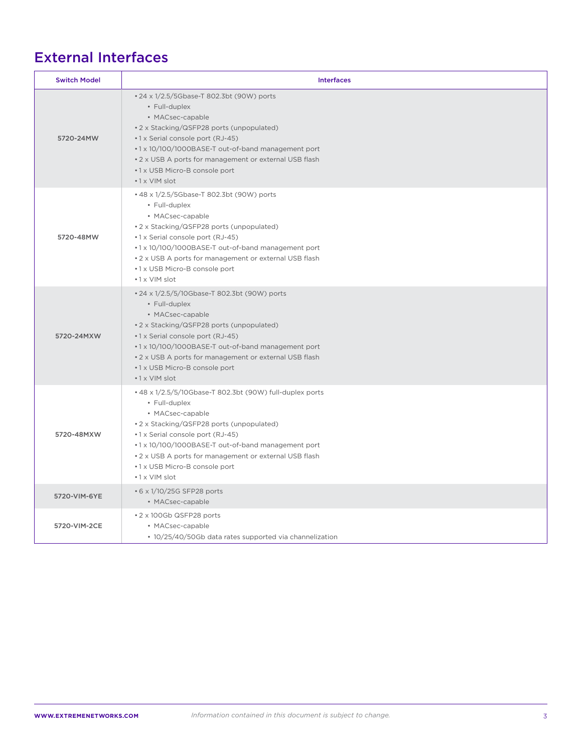# External Interfaces

| <b>Switch Model</b> | <b>Interfaces</b>                                                                                                                                                                                                                                                                                                                                       |
|---------------------|---------------------------------------------------------------------------------------------------------------------------------------------------------------------------------------------------------------------------------------------------------------------------------------------------------------------------------------------------------|
| 5720-24MW           | • 24 x 1/2.5/5Gbase-T 802.3bt (90W) ports<br>• Full-duplex<br>• MACsec-capable<br>• 2 x Stacking/QSFP28 ports (unpopulated)<br>•1 x Serial console port (RJ-45)<br>•1 x 10/100/1000BASE-T out-of-band management port<br>• 2 x USB A ports for management or external USB flash<br>•1 x USB Micro-B console port<br>$\cdot$ 1 x VIM slot                |
| 5720-48MW           | • 48 x 1/2.5/5Gbase-T 802.3bt (90W) ports<br>• Full-duplex<br>• MACsec-capable<br>• 2 x Stacking/QSFP28 ports (unpopulated)<br>•1 x Serial console port (RJ-45)<br>•1 x 10/100/1000BASE-T out-of-band management port<br>• 2 x USB A ports for management or external USB flash<br>•1 x USB Micro-B console port<br>•1 x VIM slot                       |
| 5720-24MXW          | • 24 x 1/2.5/5/10Gbase-T 802.3bt (90W) ports<br>• Full-duplex<br>• MACsec-capable<br>• 2 x Stacking/QSFP28 ports (unpopulated)<br>•1 x Serial console port (RJ-45)<br>•1 x 10/100/1000BASE-T out-of-band management port<br>• 2 x USB A ports for management or external USB flash<br>•1 x USB Micro-B console port<br>•1 x VIM slot                    |
| 5720-48MXW          | • 48 x 1/2.5/5/10Gbase-T 802.3bt (90W) full-duplex ports<br>• Full-duplex<br>• MACsec-capable<br>• 2 x Stacking/QSFP28 ports (unpopulated)<br>•1 x Serial console port (RJ-45)<br>•1 x 10/100/1000BASE-T out-of-band management port<br>• 2 x USB A ports for management or external USB flash<br>•1 x USB Micro-B console port<br>$\cdot$ 1 x VIM slot |
| 5720-VIM-6YE        | $\cdot$ 6 x 1/10/25G SFP28 ports<br>• MACsec-capable                                                                                                                                                                                                                                                                                                    |
| 5720-VIM-2CE        | • 2 x 100Gb QSFP28 ports<br>• MACsec-capable<br>• 10/25/40/50Gb data rates supported via channelization                                                                                                                                                                                                                                                 |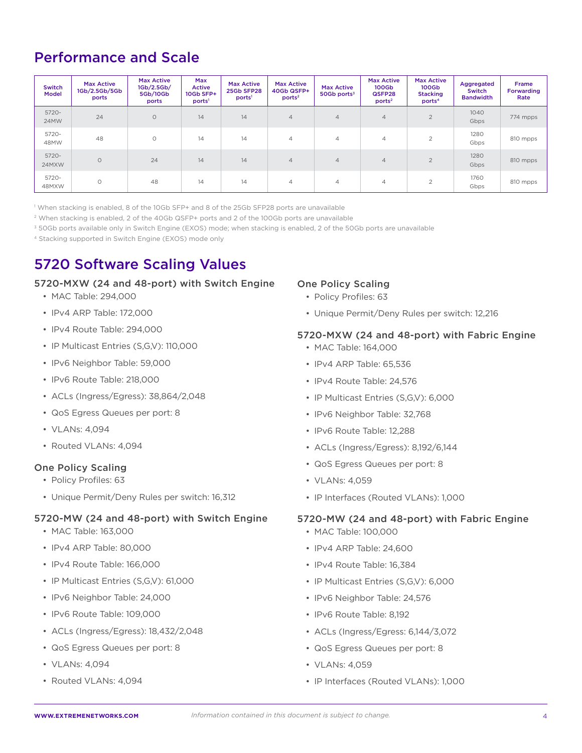# Performance and Scale

| <b>Switch</b><br>Model | <b>Max Active</b><br>1Gb/2.5Gb/5Gb<br>ports | <b>Max Active</b><br>1Gb/2.5Gb/<br>5Gb/10Gb<br>ports | Max<br><b>Active</b><br>10Gb SFP+<br>ports <sup>1</sup> | <b>Max Active</b><br>25Gb SFP28<br>ports <sup>1</sup> | <b>Max Active</b><br>40Gb QSFP+<br>ports <sup>2</sup> | <b>Max Active</b><br>50Gb ports <sup>3</sup> | <b>Max Active</b><br>100Gb<br>QSFP28<br>ports <sup>2</sup> | <b>Max Active</b><br>100Gb<br><b>Stacking</b><br>ports <sup>4</sup> | Aggregated<br><b>Switch</b><br><b>Bandwidth</b> | Frame<br><b>Forwarding</b><br>Rate |
|------------------------|---------------------------------------------|------------------------------------------------------|---------------------------------------------------------|-------------------------------------------------------|-------------------------------------------------------|----------------------------------------------|------------------------------------------------------------|---------------------------------------------------------------------|-------------------------------------------------|------------------------------------|
| $5720 -$<br>24MW       | 24                                          | $\circ$                                              | 14                                                      | 14                                                    | $\overline{4}$                                        | $\overline{4}$                               | $\overline{4}$                                             | $\overline{2}$                                                      | 1040<br>Gbps                                    | 774 mpps                           |
| $5720 -$<br>48MW       | 48                                          | $\circ$                                              | 14                                                      | 14                                                    | $\overline{4}$                                        | $\overline{4}$                               | $\overline{4}$                                             | 2                                                                   | 1280<br>Gbps                                    | 810 mpps                           |
| $5720 -$<br>24MXW      | $\circ$                                     | 24                                                   | 14                                                      | 14                                                    | $\overline{4}$                                        | $\overline{4}$                               | $\overline{4}$                                             | $\overline{2}$                                                      | 1280<br>Gbps                                    | 810 mpps                           |
| 5720-<br>48MXW         | $\circ$                                     | 48                                                   | 14                                                      | 14                                                    | $\overline{4}$                                        | $\overline{4}$                               | $\overline{4}$                                             | 2                                                                   | 1760<br>Gbps                                    | 810 mpps                           |

1 When stacking is enabled, 8 of the 10Gb SFP+ and 8 of the 25Gb SFP28 ports are unavailable

2 When stacking is enabled, 2 of the 40Gb QSFP+ ports and 2 of the 100Gb ports are unavailable

<sup>3</sup> 50Gb ports available only in Switch Engine (EXOS) mode; when stacking is enabled, 2 of the 50Gb ports are unavailable

4 Stacking supported in Switch Engine (EXOS) mode only

# 5720 Software Scaling Values

## 5720-MXW (24 and 48-port) with Switch Engine

- MAC Table: 294,000
- IPv4 ARP Table: 172,000
- IPv4 Route Table: 294,000
- IP Multicast Entries (S,G,V): 110,000
- IPv6 Neighbor Table: 59,000
- IPv6 Route Table: 218,000
- ACLs (Ingress/Egress): 38,864/2,048
- QoS Egress Queues per port: 8
- VLANs: 4,094
- Routed VLANs: 4,094

## One Policy Scaling

- Policy Profiles: 63
- Unique Permit/Deny Rules per switch: 16,312

### 5720-MW (24 and 48-port) with Switch Engine

- MAC Table: 163,000
- IPv4 ARP Table: 80,000
- IPv4 Route Table: 166,000
- IP Multicast Entries (S,G,V): 61,000
- IPv6 Neighbor Table: 24,000
- IPv6 Route Table: 109,000
- ACLs (Ingress/Egress): 18,432/2,048
- QoS Egress Queues per port: 8
- VLANs: 4,094
- Routed VLANs: 4,094

### One Policy Scaling

- Policy Profiles: 63
- Unique Permit/Deny Rules per switch: 12,216

## 5720-MXW (24 and 48-port) with Fabric Engine

- MAC Table: 164,000
- IPv4 ARP Table: 65,536
- IPv4 Route Table: 24,576
- IP Multicast Entries (S,G,V): 6,000
- IPv6 Neighbor Table: 32,768
- IPv6 Route Table: 12,288
- ACLs (Ingress/Egress): 8,192/6,144
- QoS Egress Queues per port: 8
- VLANs: 4,059
- IP Interfaces (Routed VLANs): 1,000

### 5720-MW (24 and 48-port) with Fabric Engine

- MAC Table: 100,000
- IPv4 ARP Table: 24,600
- IPv4 Route Table: 16,384
- IP Multicast Entries (S,G,V): 6,000
- IPv6 Neighbor Table: 24,576
- IPv6 Route Table: 8,192
- ACLs (Ingress/Egress: 6,144/3,072
- QoS Egress Queues per port: 8
- VLANs: 4,059
- IP Interfaces (Routed VLANs): 1,000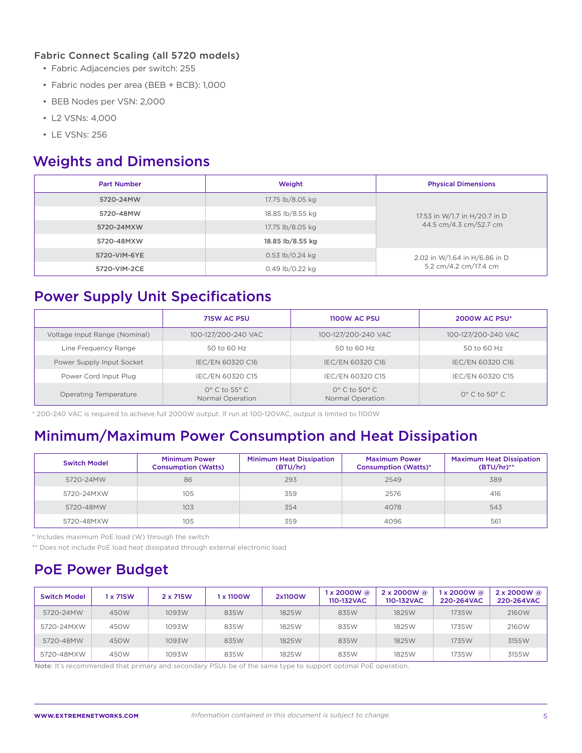## Fabric Connect Scaling (all 5720 models)

- Fabric Adjacencies per switch: 255
- Fabric nodes per area (BEB + BCB): 1,000
- BEB Nodes per VSN: 2,000
- L2 VSNs: 4,000
- LE VSNs: 256

# Weights and Dimensions

| <b>Part Number</b> | Weight           | <b>Physical Dimensions</b>    |
|--------------------|------------------|-------------------------------|
| 5720-24MW          | 17.75 lb/8.05 kg |                               |
| 5720-48MW          | 18.85 lb/8.55 kg | 17.53 in W/1.7 in H/20.7 in D |
| 5720-24MXW         | 17.75 lb/8.05 kg | 44.5 cm/4.3 cm/52.7 cm        |
| 5720-48MXW         | 18.85 lb/8.55 kg |                               |
| 5720-VIM-6YE       | 0.53 lb/0.24 kg  | 2.02 in W/1.64 in H/6.86 in D |
| 5720-VIM-2CE       | 0.49 lb/0.22 kg  | 5.2 cm/4.2 cm/17.4 cm         |

# Power Supply Unit Specifications

|                                                                               | 715W AC PSU | 1100W AC PSU                                     | <b>2000W AC PSU*</b>         |
|-------------------------------------------------------------------------------|-------------|--------------------------------------------------|------------------------------|
| 100-127/200-240 VAC<br>Voltage Input Range (Nominal)                          |             | 100-127/200-240 VAC                              | 100-127/200-240 VAC          |
| Line Frequency Range                                                          | 50 to 60 Hz | 50 to 60 Hz                                      | 50 to 60 Hz                  |
| IEC/EN 60320 C16<br>Power Supply Input Socket                                 |             | IEC/EN 60320 C16                                 | IEC/EN 60320 C16             |
| IEC/EN 60320 C15<br>Power Cord Input Plug                                     |             | IEC/EN 60320 C15                                 | IEC/EN 60320 C15             |
| $O^{\circ}$ C to 55 $^{\circ}$ C<br>Operating Temperature<br>Normal Operation |             | $0^\circ$ C to 50 $^\circ$ C<br>Normal Operation | $0^\circ$ C to 50 $^\circ$ C |

\* 200-240 VAC is required to achieve full 2000W output. If run at 100-120VAC, output is limited to 1100W

# Minimum/Maximum Power Consumption and Heat Dissipation

| <b>Switch Model</b> | <b>Minimum Power</b><br><b>Consumption (Watts)</b> | <b>Minimum Heat Dissipation</b><br>(BTU/hr) | <b>Maximum Power</b><br><b>Consumption (Watts)*</b> | <b>Maximum Heat Dissipation</b><br>$(BTU/hr)*$ |
|---------------------|----------------------------------------------------|---------------------------------------------|-----------------------------------------------------|------------------------------------------------|
| 5720-24MW           | 86                                                 | 293                                         | 2549                                                | 389                                            |
| 5720-24MXW          | 105                                                | 359                                         | 2576                                                | 416                                            |
| 5720-48MW           | 103                                                | 354                                         | 4078                                                | 543                                            |
| 5720-48MXW          | 105                                                | 359                                         | 4096                                                | 561                                            |

\* Includes maximum PoE load (W) through the switch

\*\* Does not include PoE load heat dissipated through external electronic load

# PoE Power Budget

| <b>Switch Model</b> | 1 x 715W | 2 x 715W | 1 x 1100W | 2x1100W | $1x2000W$ @<br>110-132VAC | $2 \times 2000W$ @<br>110-132VAC | 1 x 2000W @<br>220-264VAC | $2 \times 2000W$ @<br>220-264VAC |
|---------------------|----------|----------|-----------|---------|---------------------------|----------------------------------|---------------------------|----------------------------------|
| 5720-24MW           | 450W     | 1093W    | 835W      | 1825W   | 835W                      | 1825W                            | 1735W                     | 2160W                            |
| 5720-24MXW          | 450W     | 1093W    | 835W      | 1825W   | 835W                      | 1825W                            | 1735W                     | 2160W                            |
| 5720-48MW           | 450W     | 1093W    | 835W      | 1825W   | 835W                      | 1825W                            | 1735W                     | 3155W                            |
| 5720-48MXW          | 450W     | 1093W    | 835W      | 1825W   | 835W                      | 1825W                            | 1735W                     | 3155W                            |

Note: It's recommended that primary and secondary PSUs be of the same type to support optimal PoE operation.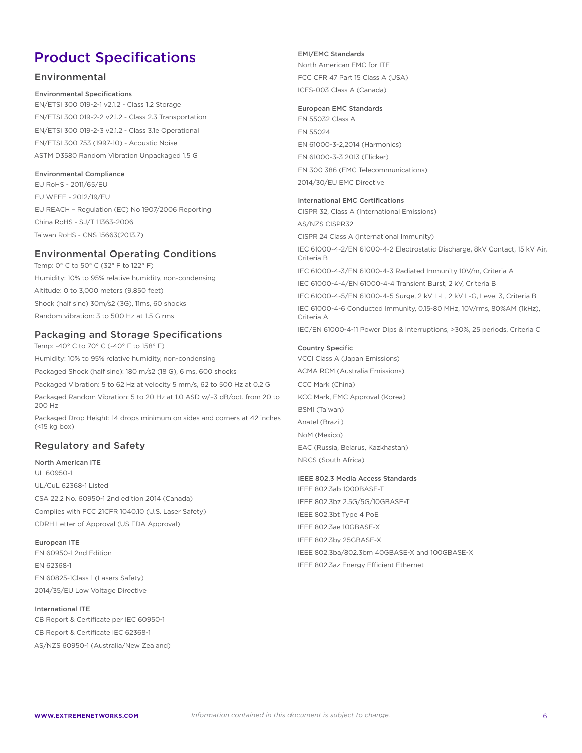# Product Specifications

## Environmental

#### Environmental Specifications

EN/ETSI 300 019-2-1 v2.1.2 - Class 1.2 Storage EN/ETSI 300 019-2-2 v2.1.2 - Class 2.3 Transportation EN/ETSI 300 019-2-3 v2.1.2 - Class 3.1e Operational EN/ETSI 300 753 (1997-10) - Acoustic Noise ASTM D3580 Random Vibration Unpackaged 1.5 G

#### Environmental Compliance

EU RoHS - 2011/65/EU EU WEEE - 2012/19/EU EU REACH – Regulation (EC) No 1907/2006 Reporting China RoHS - SJ/T 11363-2006 Taiwan RoHS - CNS 15663(2013.7)

## Environmental Operating Conditions

Temp: 0° C to 50° C (32° F to 122° F) Humidity: 10% to 95% relative humidity, non-condensing Altitude: 0 to 3,000 meters (9,850 feet) Shock (half sine) 30m/s2 (3G), 11ms, 60 shocks Random vibration: 3 to 500 Hz at 1.5 G rms

## Packaging and Storage Specifications

Temp: -40° C to 70° C (-40° F to 158° F) Humidity: 10% to 95% relative humidity, non-condensing Packaged Shock (half sine): 180 m/s2 (18 G), 6 ms, 600 shocks Packaged Vibration: 5 to 62 Hz at velocity 5 mm/s, 62 to 500 Hz at 0.2 G Packaged Random Vibration: 5 to 20 Hz at 1.0 ASD w/–3 dB/oct. from 20 to 200 Hz

Packaged Drop Height: 14 drops minimum on sides and corners at 42 inches (<15 kg box)

## Regulatory and Safety

North American ITE UL 60950-1

UL/CuL 62368-1 Listed CSA 22.2 No. 60950-1 2nd edition 2014 (Canada) Complies with FCC 21CFR 1040.10 (U.S. Laser Safety) CDRH Letter of Approval (US FDA Approval)

European ITE EN 60950-1 2nd Edition EN 62368-1 EN 60825-1Class 1 (Lasers Safety) 2014/35/EU Low Voltage Directive

International ITE CB Report & Certificate per IEC 60950-1 CB Report & Certificate IEC 62368-1 AS/NZS 60950-1 (Australia/New Zealand) EMI/EMC Standards North American EMC for ITE FCC CFR 47 Part 15 Class A (USA) ICES-003 Class A (Canada)

## European EMC Standards

EN 55032 Class A EN 55024 EN 61000-3-2,2014 (Harmonics) EN 61000-3-3 2013 (Flicker) EN 300 386 (EMC Telecommunications) 2014/30/EU EMC Directive

#### International EMC Certifications

CISPR 32, Class A (International Emissions) AS/NZS CISPR32

CISPR 24 Class A (International Immunity)

IEC 61000-4-2/EN 61000-4-2 Electrostatic Discharge, 8kV Contact, 15 kV Air, Criteria B IEC 61000-4-3/EN 61000-4-3 Radiated Immunity 10V/m, Criteria A IEC 61000-4-4/EN 61000-4-4 Transient Burst, 2 kV, Criteria B IEC 61000-4-5/EN 61000-4-5 Surge, 2 kV L-L, 2 kV L-G, Level 3, Criteria B IEC 61000-4-6 Conducted Immunity, 0.15-80 MHz, 10V/rms, 80%AM (1kHz), Criteria A IEC/EN 61000-4-11 Power Dips & Interruptions, >30%, 25 periods, Criteria C

#### Country Specific

VCCI Class A (Japan Emissions) ACMA RCM (Australia Emissions) CCC Mark (China) KCC Mark, EMC Approval (Korea) BSMI (Taiwan) Anatel (Brazil) NoM (Mexico) EAC (Russia, Belarus, Kazkhastan) NRCS (South Africa)

#### IEEE 802.3 Media Access Standards

IEEE 802.3ab 1000BASE-T IEEE 802.3bz 2.5G/5G/10GBASE-T IEEE 802.3bt Type 4 PoE IEEE 802.3ae 10GBASE-X IEEE 802.3by 25GBASE-X IEEE 802.3ba/802.3bm 40GBASE-X and 100GBASE-X IEEE 802.3az Energy Efficient Ethernet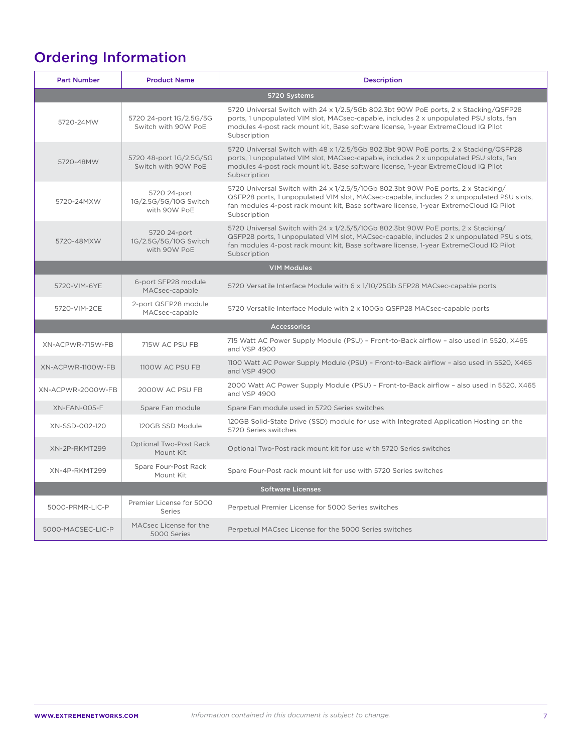# Ordering Information

| <b>Part Number</b>       | <b>Product Name</b>                                   | <b>Description</b>                                                                                                                                                                                                                                                                       |  |  |  |
|--------------------------|-------------------------------------------------------|------------------------------------------------------------------------------------------------------------------------------------------------------------------------------------------------------------------------------------------------------------------------------------------|--|--|--|
| 5720 Systems             |                                                       |                                                                                                                                                                                                                                                                                          |  |  |  |
| 5720-24MW                | 5720 24-port 1G/2.5G/5G<br>Switch with 90W PoE        | 5720 Universal Switch with 24 x 1/2.5/5Gb 802.3bt 90W PoE ports, 2 x Stacking/QSFP28<br>ports, 1 unpopulated VIM slot, MACsec-capable, includes 2 x unpopulated PSU slots, fan<br>modules 4-post rack mount kit, Base software license, 1-year ExtremeCloud IQ Pilot<br>Subscription     |  |  |  |
| 5720-48MW                | 5720 48-port 1G/2.5G/5G<br>Switch with 90W PoE        | 5720 Universal Switch with 48 x 1/2.5/5Gb 802.3bt 90W PoE ports, 2 x Stacking/QSFP28<br>ports, 1 unpopulated VIM slot, MACsec-capable, includes 2 x unpopulated PSU slots, fan<br>modules 4-post rack mount kit, Base software license, 1-year ExtremeCloud IQ Pilot<br>Subscription     |  |  |  |
| 5720-24MXW               | 5720 24-port<br>1G/2.5G/5G/10G Switch<br>with 90W PoE | 5720 Universal Switch with 24 x 1/2.5/5/10Gb 802.3bt 90W PoE ports, 2 x Stacking/<br>QSFP28 ports, 1 unpopulated VIM slot, MACsec-capable, includes 2 x unpopulated PSU slots,<br>fan modules 4-post rack mount kit, Base software license, 1-year ExtremeCloud IQ Pilot<br>Subscription |  |  |  |
| 5720-48MXW               | 5720 24-port<br>1G/2.5G/5G/10G Switch<br>with 90W PoE | 5720 Universal Switch with 24 x 1/2.5/5/10Gb 802.3bt 90W PoE ports, 2 x Stacking/<br>QSFP28 ports, 1 unpopulated VIM slot, MACsec-capable, includes 2 x unpopulated PSU slots,<br>fan modules 4-post rack mount kit, Base software license, 1-year ExtremeCloud IQ Pilot<br>Subscription |  |  |  |
|                          |                                                       | <b>VIM Modules</b>                                                                                                                                                                                                                                                                       |  |  |  |
| 5720-VIM-6YE             | 6-port SFP28 module<br>MACsec-capable                 | 5720 Versatile Interface Module with 6 x 1/10/25Gb SFP28 MACsec-capable ports                                                                                                                                                                                                            |  |  |  |
| 5720-VIM-2CE             | 2-port QSFP28 module<br>MACsec-capable                | 5720 Versatile Interface Module with 2 x 100Gb QSFP28 MACsec-capable ports                                                                                                                                                                                                               |  |  |  |
|                          |                                                       | <b>Accessories</b>                                                                                                                                                                                                                                                                       |  |  |  |
| XN-ACPWR-715W-FB         | 715W AC PSU FB                                        | 715 Watt AC Power Supply Module (PSU) - Front-to-Back airflow - also used in 5520, X465<br>and VSP 4900                                                                                                                                                                                  |  |  |  |
| XN-ACPWR-1100W-FB        | 1100W AC PSU FB                                       | 1100 Watt AC Power Supply Module (PSU) - Front-to-Back airflow - also used in 5520, X465<br>and VSP 4900                                                                                                                                                                                 |  |  |  |
| XN-ACPWR-2000W-FB        | 2000W AC PSU FB                                       | 2000 Watt AC Power Supply Module (PSU) - Front-to-Back airflow - also used in 5520, X465<br>and VSP 4900                                                                                                                                                                                 |  |  |  |
| XN-FAN-005-F             | Spare Fan module                                      | Spare Fan module used in 5720 Series switches                                                                                                                                                                                                                                            |  |  |  |
| XN-SSD-002-120           | 120GB SSD Module                                      | 120GB Solid-State Drive (SSD) module for use with Integrated Application Hosting on the<br>5720 Series switches                                                                                                                                                                          |  |  |  |
| XN-2P-RKMT299            | Optional Two-Post Rack<br>Mount Kit                   | Optional Two-Post rack mount kit for use with 5720 Series switches                                                                                                                                                                                                                       |  |  |  |
| XN-4P-RKMT299            | Spare Four-Post Rack<br>Mount Kit                     | Spare Four-Post rack mount kit for use with 5720 Series switches                                                                                                                                                                                                                         |  |  |  |
| <b>Software Licenses</b> |                                                       |                                                                                                                                                                                                                                                                                          |  |  |  |
| 5000-PRMR-LIC-P          | Premier License for 5000<br>Series                    | Perpetual Premier License for 5000 Series switches                                                                                                                                                                                                                                       |  |  |  |
| 5000-MACSEC-LIC-P        | MACsec License for the<br>5000 Series                 | Perpetual MACsec License for the 5000 Series switches                                                                                                                                                                                                                                    |  |  |  |